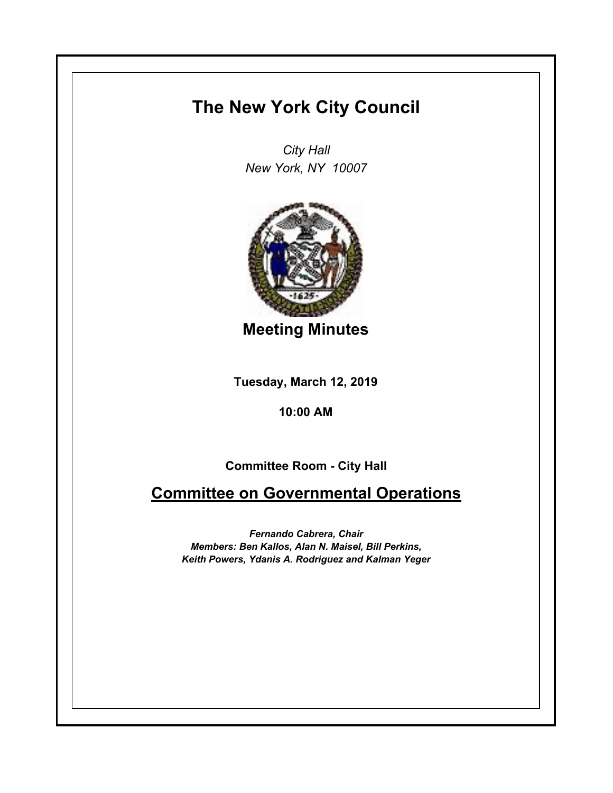## **The New York City Council**

*City Hall New York, NY 10007*



**Meeting Minutes**

**Tuesday, March 12, 2019**

**10:00 AM**

**Committee Room - City Hall**

**Committee on Governmental Operations**

*Fernando Cabrera, Chair Members: Ben Kallos, Alan N. Maisel, Bill Perkins, Keith Powers, Ydanis A. Rodriguez and Kalman Yeger*